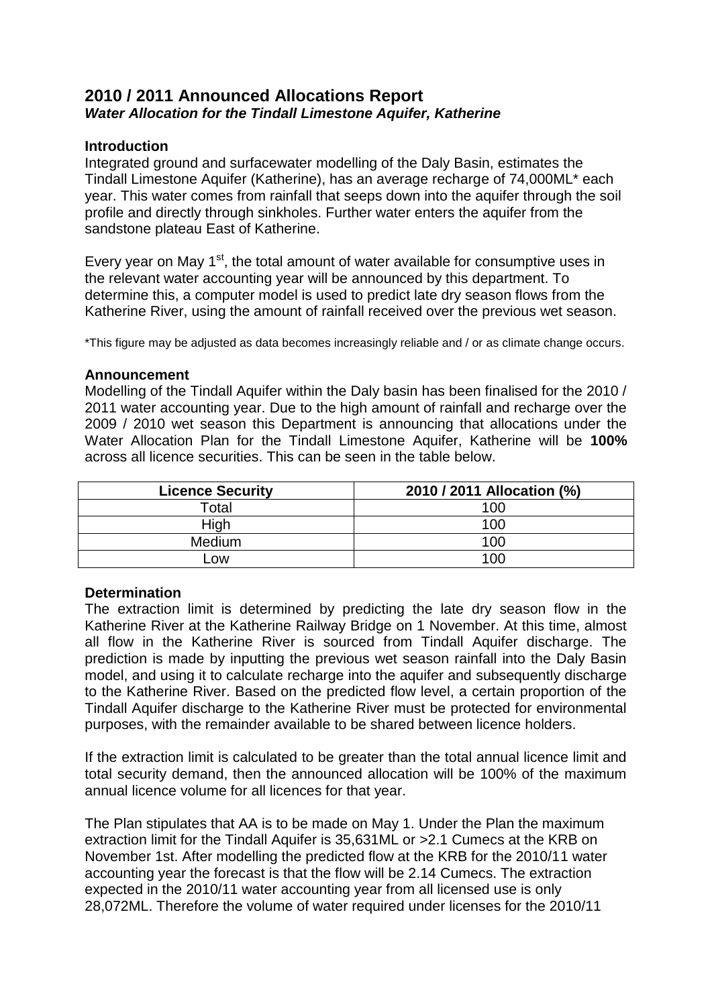## **2010 / 2011 Announced Allocations Report** *Water Allocation for the Tindall Limestone Aquifer, Katherine*

## **Introduction**

Integrated ground and surfacewater modelling of the Daly Basin, estimates the Tindall Limestone Aquifer (Katherine), has an average recharge of 74,000ML\* each year. This water comes from rainfall that seeps down into the aquifer through the soil profile and directly through sinkholes. Further water enters the aquifer from the sandstone plateau East of Katherine.

Every year on May  $1<sup>st</sup>$ , the total amount of water available for consumptive uses in the relevant water accounting year will be announced by this department. To determine this, a computer model is used to predict late dry season flows from the Katherine River, using the amount of rainfall received over the previous wet season.

\*This figure may be adjusted as data becomes increasingly reliable and / or as climate change occurs.

## **Announcement**

Modelling of the Tindall Aquifer within the Daly basin has been finalised for the 2010 / 2011 water accounting year. Due to the high amount of rainfall and recharge over the 2009 / 2010 wet season this Department is announcing that allocations under the Water Allocation Plan for the Tindall Limestone Aquifer, Katherine will be **100%** across all licence securities. This can be seen in the table below.

| <b>Licence Security</b> | 2010 / 2011 Allocation (%) |
|-------------------------|----------------------------|
| Total                   | 100                        |
| High                    | 100                        |
| Medium                  | 100                        |
| ∟ow                     | 100                        |

## **Determination**

The extraction limit is determined by predicting the late dry season flow in the Katherine River at the Katherine Railway Bridge on 1 November. At this time, almost all flow in the Katherine River is sourced from Tindall Aquifer discharge. The prediction is made by inputting the previous wet season rainfall into the Daly Basin model, and using it to calculate recharge into the aquifer and subsequently discharge to the Katherine River. Based on the predicted flow level, a certain proportion of the Tindall Aquifer discharge to the Katherine River must be protected for environmental purposes, with the remainder available to be shared between licence holders.

If the extraction limit is calculated to be greater than the total annual licence limit and total security demand, then the announced allocation will be 100% of the maximum annual licence volume for all licences for that year.

The Plan stipulates that AA is to be made on May 1. Under the Plan the maximum extraction limit for the Tindall Aquifer is 35,631ML or >2.1 Cumecs at the KRB on November 1st. After modelling the predicted flow at the KRB for the 2010/11 water accounting year the forecast is that the flow will be 2.14 Cumecs. The extraction expected in the 2010/11 water accounting year from all licensed use is only 28,072ML. Therefore the volume of water required under licenses for the 2010/11